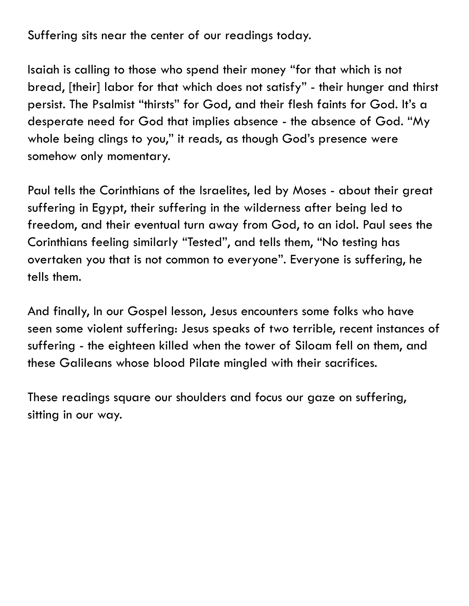Suffering sits near the center of our readings today.

Isaiah is calling to those who spend their money "for that which is not bread, [their] labor for that which does not satisfy" - their hunger and thirst persist. The Psalmist "thirsts" for God, and their flesh faints for God. It's a desperate need for God that implies absence - the absence of God. "My whole being clings to you," it reads, as though God's presence were somehow only momentary.

Paul tells the Corinthians of the Israelites, led by Moses - about their great suffering in Egypt, their suffering in the wilderness after being led to freedom, and their eventual turn away from God, to an idol. Paul sees the Corinthians feeling similarly "Tested", and tells them, "No testing has overtaken you that is not common to everyone". Everyone is suffering, he tells them.

And finally, In our Gospel lesson, Jesus encounters some folks who have seen some violent suffering: Jesus speaks of two terrible, recent instances of suffering - the eighteen killed when the tower of Siloam fell on them, and these Galileans whose blood Pilate mingled with their sacrifices.

These readings square our shoulders and focus our gaze on suffering, sitting in our way.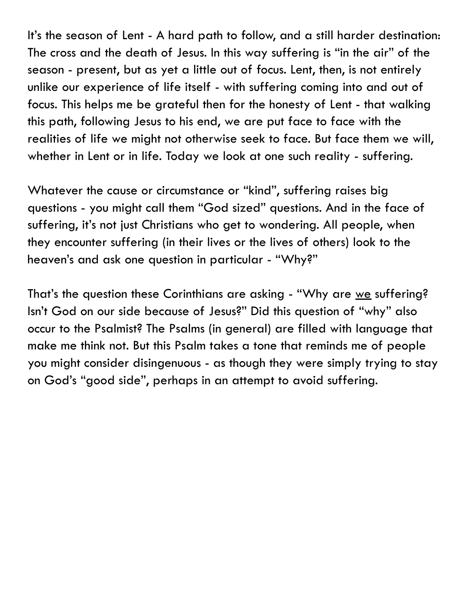It's the season of Lent - A hard path to follow, and a still harder destination: The cross and the death of Jesus. In this way suffering is "in the air" of the season - present, but as yet a little out of focus. Lent, then, is not entirely unlike our experience of life itself - with suffering coming into and out of focus. This helps me be grateful then for the honesty of Lent - that walking this path, following Jesus to his end, we are put face to face with the realities of life we might not otherwise seek to face. But face them we will, whether in Lent or in life. Today we look at one such reality - suffering.

Whatever the cause or circumstance or "kind", suffering raises big questions - you might call them "God sized" questions. And in the face of suffering, it's not just Christians who get to wondering. All people, when they encounter suffering (in their lives or the lives of others) look to the heaven's and ask one question in particular - "Why?"

That's the question these Corinthians are asking - "Why are we suffering? Isn't God on our side because of Jesus?" Did this question of "why" also occur to the Psalmist? The Psalms (in general) are filled with language that make me think not. But this Psalm takes a tone that reminds me of people you might consider disingenuous - as though they were simply trying to stay on God's "good side", perhaps in an attempt to avoid suffering.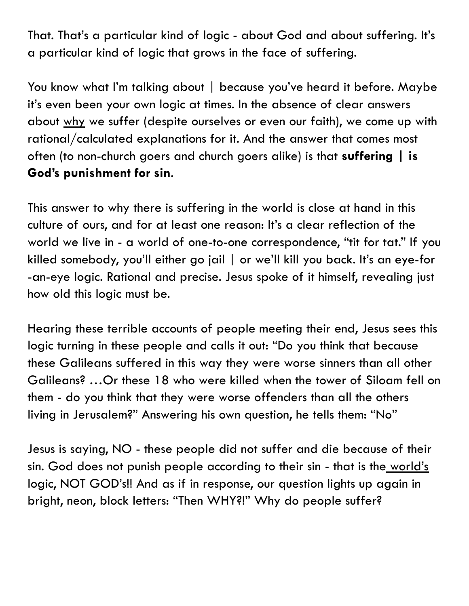That. That's a particular kind of logic - about God and about suffering. It's a particular kind of logic that grows in the face of suffering.

You know what I'm talking about | because you've heard it before. Maybe it's even been your own logic at times. In the absence of clear answers about why we suffer (despite ourselves or even our faith), we come up with rational/calculated explanations for it. And the answer that comes most often (to non-church goers and church goers alike) is that **suffering | is God's punishment for sin**.

This answer to why there is suffering in the world is close at hand in this culture of ours, and for at least one reason: It's a clear reflection of the world we live in - a world of one-to-one correspondence, "tit for tat." If you killed somebody, you'll either go jail | or we'll kill you back. It's an eye-for -an-eye logic. Rational and precise. Jesus spoke of it himself, revealing just how old this logic must be.

Hearing these terrible accounts of people meeting their end, Jesus sees this logic turning in these people and calls it out: "Do you think that because these Galileans suffered in this way they were worse sinners than all other Galileans? …Or these 18 who were killed when the tower of Siloam fell on them - do you think that they were worse offenders than all the others living in Jerusalem?" Answering his own question, he tells them: "No"

Jesus is saying, NO - these people did not suffer and die because of their sin. God does not punish people according to their sin - that is the world's logic, NOT GOD's!! And as if in response, our question lights up again in bright, neon, block letters: "Then WHY?!" Why do people suffer?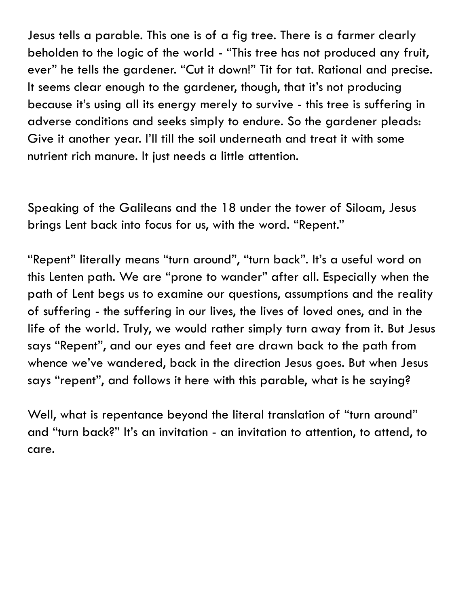Jesus tells a parable. This one is of a fig tree. There is a farmer clearly beholden to the logic of the world - "This tree has not produced any fruit, ever" he tells the gardener. "Cut it down!" Tit for tat. Rational and precise. It seems clear enough to the gardener, though, that it's not producing because it's using all its energy merely to survive - this tree is suffering in adverse conditions and seeks simply to endure. So the gardener pleads: Give it another year. I'll till the soil underneath and treat it with some nutrient rich manure. It just needs a little attention.

Speaking of the Galileans and the 18 under the tower of Siloam, Jesus brings Lent back into focus for us, with the word. "Repent."

"Repent" literally means "turn around", "turn back". It's a useful word on this Lenten path. We are "prone to wander" after all. Especially when the path of Lent begs us to examine our questions, assumptions and the reality of suffering - the suffering in our lives, the lives of loved ones, and in the life of the world. Truly, we would rather simply turn away from it. But Jesus says "Repent", and our eyes and feet are drawn back to the path from whence we've wandered, back in the direction Jesus goes. But when Jesus says "repent", and follows it here with this parable, what is he saying?

Well, what is repentance beyond the literal translation of "turn around" and "turn back?" It's an invitation - an invitation to attention, to attend, to care.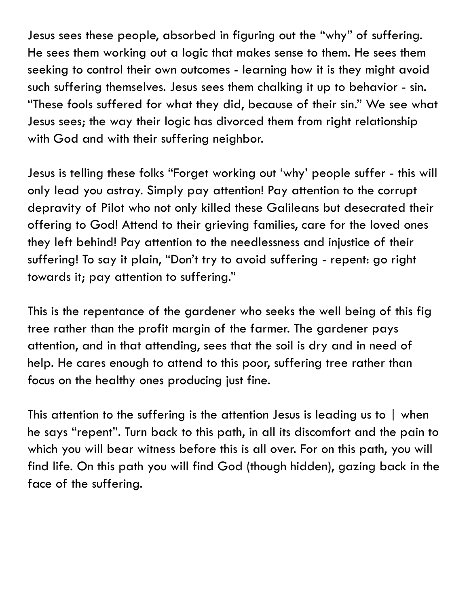Jesus sees these people, absorbed in figuring out the "why" of suffering. He sees them working out a logic that makes sense to them. He sees them seeking to control their own outcomes - learning how it is they might avoid such suffering themselves. Jesus sees them chalking it up to behavior - sin. "These fools suffered for what they did, because of their sin." We see what Jesus sees; the way their logic has divorced them from right relationship with God and with their suffering neighbor.

Jesus is telling these folks "Forget working out 'why' people suffer - this will only lead you astray. Simply pay attention! Pay attention to the corrupt depravity of Pilot who not only killed these Galileans but desecrated their offering to God! Attend to their grieving families, care for the loved ones they left behind! Pay attention to the needlessness and injustice of their suffering! To say it plain, "Don't try to avoid suffering - repent: go right towards it; pay attention to suffering."

This is the repentance of the gardener who seeks the well being of this fig tree rather than the profit margin of the farmer. The gardener pays attention, and in that attending, sees that the soil is dry and in need of help. He cares enough to attend to this poor, suffering tree rather than focus on the healthy ones producing just fine.

This attention to the suffering is the attention Jesus is leading us to | when he says "repent". Turn back to this path, in all its discomfort and the pain to which you will bear witness before this is all over. For on this path, you will find life. On this path you will find God (though hidden), gazing back in the face of the suffering.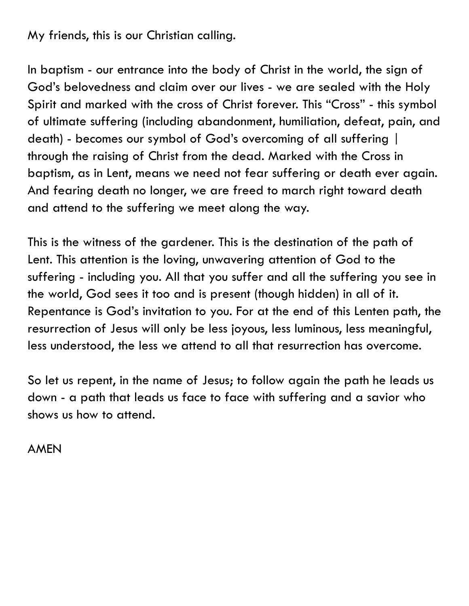## My friends, this is our Christian calling.

In baptism - our entrance into the body of Christ in the world, the sign of God's belovedness and claim over our lives - we are sealed with the Holy Spirit and marked with the cross of Christ forever. This "Cross" - this symbol of ultimate suffering (including abandonment, humiliation, defeat, pain, and death) - becomes our symbol of God's overcoming of all suffering | through the raising of Christ from the dead. Marked with the Cross in baptism, as in Lent, means we need not fear suffering or death ever again. And fearing death no longer, we are freed to march right toward death and attend to the suffering we meet along the way.

This is the witness of the gardener. This is the destination of the path of Lent. This attention is the loving, unwavering attention of God to the suffering - including you. All that you suffer and all the suffering you see in the world, God sees it too and is present (though hidden) in all of it. Repentance is God's invitation to you. For at the end of this Lenten path, the resurrection of Jesus will only be less joyous, less luminous, less meaningful, less understood, the less we attend to all that resurrection has overcome.

So let us repent, in the name of Jesus; to follow again the path he leads us down - a path that leads us face to face with suffering and a savior who shows us how to attend.

AMEN